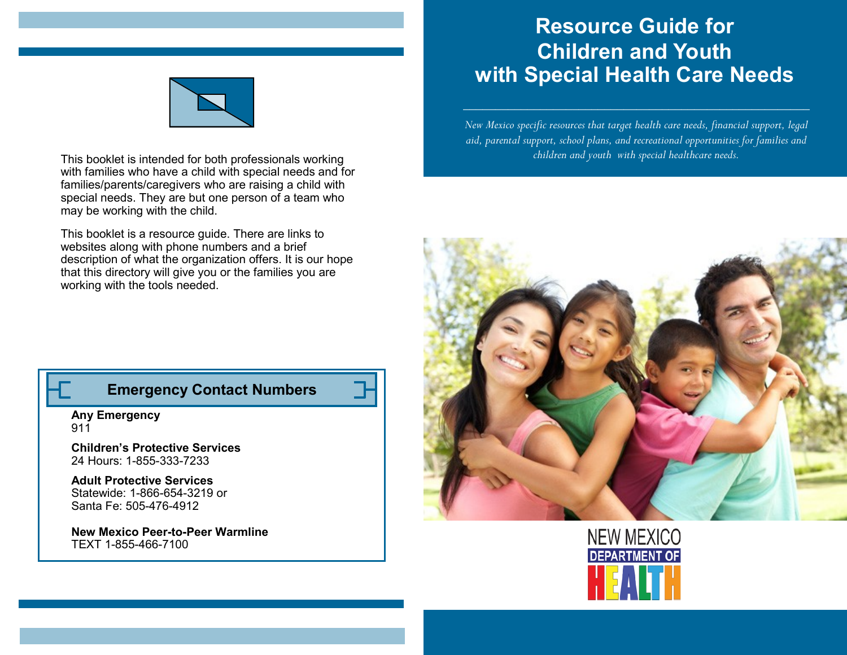# **Resource Guide for Children and Youth with Special Health Care Needs**

*New Mexico specific resources that target health care needs, financial support, legal aid, parental support, school plans, and recreational opportunities for families and children and youth with special healthcare needs.* 







This booklet is intended for both professionals working with families who have a child with special needs and for families/parents/caregivers who are raising a child with special needs. They are but one person of a team who may be working with the child.

This booklet is a resource guide. There are links to websites along with phone numbers and a brief description of what the organization offers. It is our hope that this directory will give you or the families you are working with the tools needed.

## **Emergency Contact Numbers**

**Any Emergency** 911

**Children's Protective Services** 24 Hours: 1-855-333-7233

**Adult Protective Services** Statewide: 1-866-654-3219 or Santa Fe: 505-476-4912

**New Mexico Peer-to-Peer Warmline**  TEXT 1-855-466-7100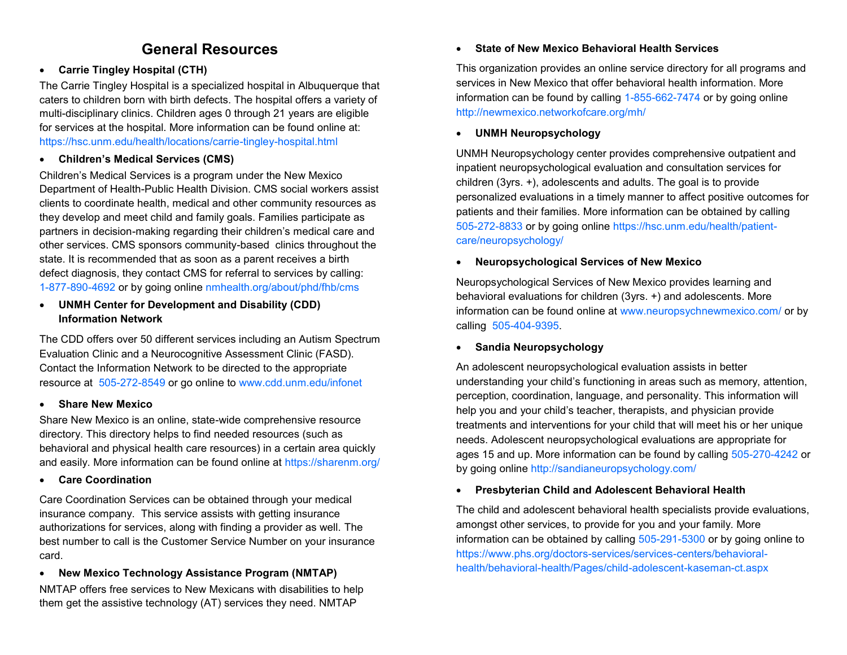## **General Resources**

#### • **Carrie Tingley Hospital (CTH)**

The Carrie Tingley Hospital is a specialized hospital in Albuquerque that caters to children born with birth defects. The hospital offers a variety of multi-disciplinary clinics. Children ages 0 through 21 years are eligible for services at the hospital. More information can be found online at: https://hsc.unm.edu/health/locations/carrie-tingley-hospital.html

#### • **Children's Medical Services (CMS)**

Children's Medical Services is a program under the New Mexico Department of Health-Public Health Division. CMS social workers assist clients to coordinate health, medical and other community resources as they develop and meet child and family goals. Families participate as partners in decision-making regarding their children's medical care and other services. CMS sponsors community-based clinics throughout the state. It is recommended that as soon as a parent receives a birth defect diagnosis, they contact CMS for referral to services by calling: 1-877-890-4692 or by going online nmhealth.org/about/phd/fhb/cms

#### • **UNMH Center for Development and Disability (CDD) Information Network**

The CDD offers over 50 different services including an Autism Spectrum Evaluation Clinic and a Neurocognitive Assessment Clinic (FASD). Contact the Information Network to be directed to the appropriate resource at 505-272-8549 or go online to www.cdd.unm.edu/infonet

#### • **Share New Mexico**

Share New Mexico is an online, state-wide comprehensive resource directory. This directory helps to find needed resources (such as behavioral and physical health care resources) in a certain area quickly and easily. More information can be found online at https://sharenm.org/

#### • **Care Coordination**

Care Coordination Services can be obtained through your medical insurance company. This service assists with getting insurance authorizations for services, along with finding a provider as well. The best number to call is the Customer Service Number on your insurance card.

• **New Mexico Technology Assistance Program (NMTAP)** NMTAP offers free services to New Mexicans with disabilities to help them get the assistive technology (AT) services they need. NMTAP

#### • **State of New Mexico Behavioral Health Services**

This organization provides an online service directory for all programs and services in New Mexico that offer behavioral health information. More information can be found by calling 1-855-662-7474 or by going online http://newmexico.networkofcare.org/mh/

#### • **UNMH Neuropsychology**

UNMH Neuropsychology center provides comprehensive outpatient and inpatient neuropsychological evaluation and consultation services for children (3yrs. +), adolescents and adults. The goal is to provide personalized evaluations in a timely manner to affect positive outcomes for patients and their families. More information can be obtained by calling 505-272-8833 or by going online https://hsc.unm.edu/health/patientcare/neuropsychology/

#### • **Neuropsychological Services of New Mexico**

Neuropsychological Services of New Mexico provides learning and behavioral evaluations for children (3yrs. +) and adolescents. More information can be found online at www.neuropsychnewmexico.com/ or by calling 505-404-9395.

#### • **Sandia Neuropsychology**

An adolescent neuropsychological evaluation assists in better understanding your child's functioning in areas such as memory, attention, perception, coordination, language, and personality. This information will help you and your child's teacher, therapists, and physician provide treatments and interventions for your child that will meet his or her unique needs. Adolescent neuropsychological evaluations are appropriate for ages 15 and up. More information can be found by calling 505-270-4242 or by going online http://sandianeuropsychology.com/

#### • **Presbyterian Child and Adolescent Behavioral Health**

The child and adolescent behavioral health specialists provide evaluations, amongst other services, to provide for you and your family. More information can be obtained by calling 505-291-5300 or by going online to https://www.phs.org/doctors-services/services-centers/behavioralhealth/behavioral-health/Pages/child-adolescent-kaseman-ct.aspx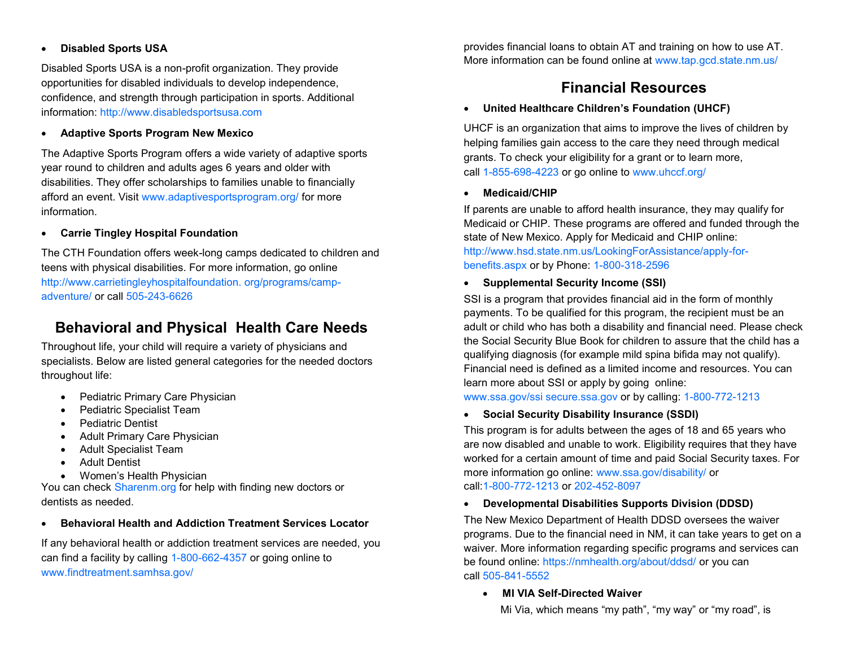#### • **Disabled Sports USA**

Disabled Sports USA is a non-profit organization. They provide opportunities for disabled individuals to develop independence, confidence, and strength through participation in sports. Additional information: http://www.disabledsportsusa.com

#### • **Adaptive Sports Program New Mexico**

The Adaptive Sports Program offers a wide variety of adaptive sports year round to children and adults ages 6 years and older with disabilities. They offer scholarships to families unable to financially afford an event. Visit www.adaptivesportsprogram.org/ for more information.

#### • **Carrie Tingley Hospital Foundation**

The CTH Foundation offers week-long camps dedicated to children and teens with physical disabilities. For more information, go online http://www.carrietingleyhospitalfoundation. org/programs/campadventure/ or call 505-243-6626

## **Behavioral and Physical Health Care Needs**

Throughout life, your child will require a variety of physicians and specialists. Below are listed general categories for the needed doctors throughout life:

- Pediatric Primary Care Physician
- Pediatric Specialist Team
- Pediatric Dentist
- Adult Primary Care Physician
- Adult Specialist Team
- Adult Dentist
- Women's Health Physician

You can check Sharenm.org for help with finding new doctors or dentists as needed.

## • **Behavioral Health and Addiction Treatment Services Locator**

If any behavioral health or addiction treatment services are needed, you can find a facility by calling 1-800-662-4357 or going online to www.findtreatment.samhsa.gov/

provides financial loans to obtain AT and training on how to use AT. More information can be found online at www.tap.gcd.state.nm.us/

## **Financial Resources**

## • **United Healthcare Children's Foundation (UHCF)**

UHCF is an organization that aims to improve the lives of children by helping families gain access to the care they need through medical grants. To check your eligibility for a grant or to learn more, call 1-855-698-4223 or go online to www.uhccf.org/

#### • **Medicaid/CHIP**

If parents are unable to afford health insurance, they may qualify for Medicaid or CHIP. These programs are offered and funded through the state of New Mexico. Apply for Medicaid and CHIP online: http://www.hsd.state.nm.us/LookingForAssistance/apply-forbenefits.aspx or by Phone: 1-800-318-2596

#### • **Supplemental Security Income (SSI)**

SSI is a program that provides financial aid in the form of monthly payments. To be qualified for this program, the recipient must be an adult or child who has both a disability and financial need. Please check the Social Security Blue Book for children to assure that the child has a qualifying diagnosis (for example mild spina bifida may not qualify). Financial need is defined as a limited income and resources. You can learn more about SSI or apply by going online:

www.ssa.gov/ssi secure.ssa.gov or by calling: 1-800-772-1213

#### • **Social Security Disability Insurance (SSDI)**

This program is for adults between the ages of 18 and 65 years who are now disabled and unable to work. Eligibility requires that they have worked for a certain amount of time and paid Social Security taxes. For more information go online: www.ssa.gov/disability/ or call:1-800-772-1213 or 202-452-8097

#### • **Developmental Disabilities Supports Division (DDSD)**

The New Mexico Department of Health DDSD oversees the waiver programs. Due to the financial need in NM, it can take years to get on a waiver. More information regarding specific programs and services can be found online: https://nmhealth.org/about/ddsd/ or you can call 505-841-5552

#### • **MI VIA Self-Directed Waiver**

Mi Via, which means "my path", "my way" or "my road", is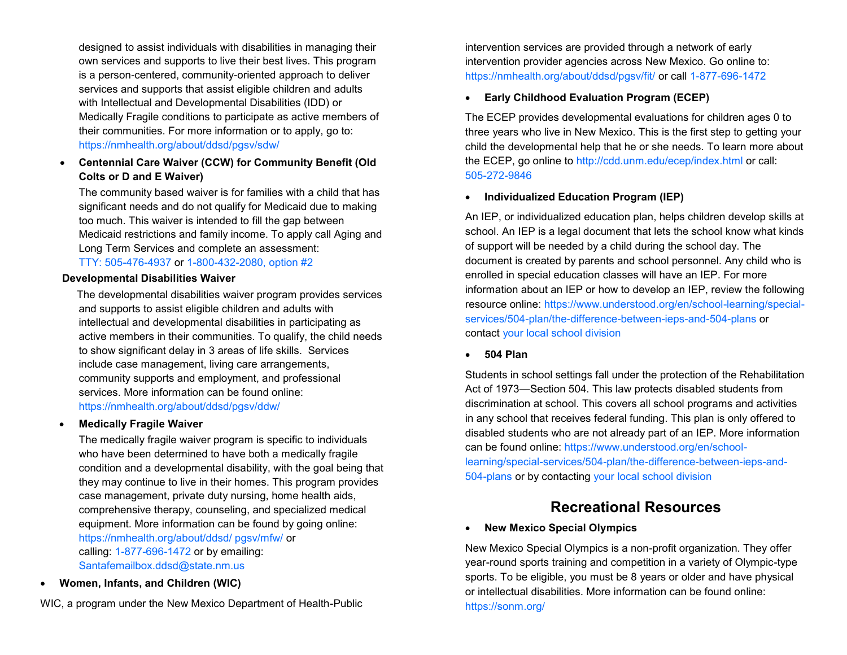designed to assist individuals with disabilities in managing their own services and supports to live their best lives. This program is a person-centered, community-oriented approach to deliver services and supports that assist eligible children and adults with Intellectual and Developmental Disabilities (IDD) or Medically Fragile conditions to participate as active members of their communities. For more information or to apply, go to: https://nmhealth.org/about/ddsd/pgsv/sdw/

#### • **Centennial Care Waiver (CCW) for Community Benefit (Old Colts or D and E Waiver)**

The community based waiver is for families with a child that has significant needs and do not qualify for Medicaid due to making too much. This waiver is intended to fill the gap between Medicaid restrictions and family income. To apply call Aging and Long Term Services and complete an assessment: TTY: 505-476-4937 or 1-800-432-2080, option #2

#### **Developmental Disabilities Waiver**

 The developmental disabilities waiver program provides services and supports to assist eligible children and adults with intellectual and developmental disabilities in participating as active members in their communities. To qualify, the child needs to show significant delay in 3 areas of life skills. Services include case management, living care arrangements, community supports and employment, and professional services. More information can be found online: https://nmhealth.org/about/ddsd/pgsv/ddw/

#### • **Medically Fragile Waiver**

The medically fragile waiver program is specific to individuals who have been determined to have both a medically fragile condition and a developmental disability, with the goal being that they may continue to live in their homes. This program provides case management, private duty nursing, home health aids, comprehensive therapy, counseling, and specialized medical equipment. More information can be found by going online: https://nmhealth.org/about/ddsd/ pgsv/mfw/ or calling: 1-877-696-1472 or by emailing: Santafemailbox.ddsd@state.nm.us

• **Women, Infants, and Children (WIC)**

WIC, a program under the New Mexico Department of Health-Public

intervention services are provided through a network of early intervention provider agencies across New Mexico. Go online to: https://nmhealth.org/about/ddsd/pgsv/fit/ or call 1-877-696-1472

#### • **Early Childhood Evaluation Program (ECEP)**

The ECEP provides developmental evaluations for children ages 0 to three years who live in New Mexico. This is the first step to getting your child the developmental help that he or she needs. To learn more about the ECEP, go online to http://cdd.unm.edu/ecep/index.html or call: 505-272-9846

#### • **Individualized Education Program (IEP)**

An IEP, or individualized education plan, helps children develop skills at school. An IEP is a legal document that lets the school know what kinds of support will be needed by a child during the school day. The document is created by parents and school personnel. Any child who is enrolled in special education classes will have an IEP. For more information about an IEP or how to develop an IEP, review the following resource online: https://www.understood.org/en/school-learning/specialservices/504-plan/the-difference-between-ieps-and-504-plans or contact your local school division

#### • **504 Plan**

Students in school settings fall under the protection of the Rehabilitation Act of 1973—Section 504. This law protects disabled students from discrimination at school. This covers all school programs and activities in any school that receives federal funding. This plan is only offered to disabled students who are not already part of an IEP. More information can be found online: https://www.understood.org/en/schoollearning/special-services/504-plan/the-difference-between-ieps-and-504-plans or by contacting your local school division

## **Recreational Resources**

#### • **New Mexico Special Olympics**

New Mexico Special Olympics is a non-profit organization. They offer year-round sports training and competition in a variety of Olympic-type sports. To be eligible, you must be 8 years or older and have physical or intellectual disabilities. More information can be found online: https://sonm.org/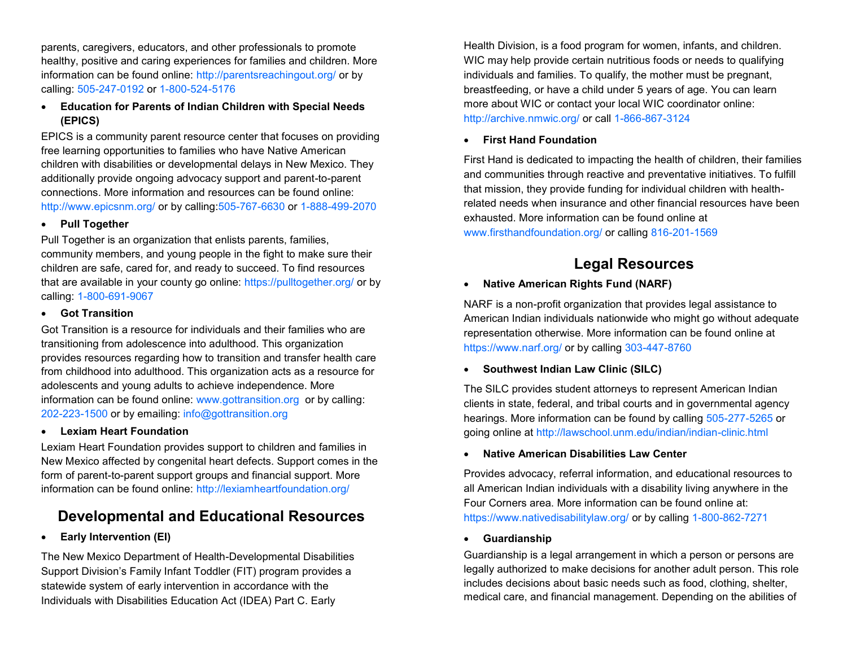parents, caregivers, educators, and other professionals to promote healthy, positive and caring experiences for families and children. More information can be found online: http://parentsreachingout.org/ or by calling: 505-247-0192 or 1-800-524-5176

• **Education for Parents of Indian Children with Special Needs (EPICS)**

EPICS is a community parent resource center that focuses on providing free learning opportunities to families who have Native American children with disabilities or developmental delays in New Mexico. They additionally provide ongoing advocacy support and parent-to-parent connections. More information and resources can be found online: http://www.epicsnm.org/ or by calling:505-767-6630 or 1-888-499-2070

#### • **Pull Together**

Pull Together is an organization that enlists parents, families, community members, and young people in the fight to make sure their children are safe, cared for, and ready to succeed. To find resources that are available in your county go online: https://pulltogether.org/ or by calling: 1-800-691-9067

#### • **Got Transition**

Got Transition is a resource for individuals and their families who are transitioning from adolescence into adulthood. This organization provides resources regarding how to transition and transfer health care from childhood into adulthood. This organization acts as a resource for adolescents and young adults to achieve independence. More information can be found online: www.gottransition.org or by calling: 202-223-1500 or by emailing: info@gottransition.org

#### • **Lexiam Heart Foundation**

Lexiam Heart Foundation provides support to children and families in New Mexico affected by congenital heart defects. Support comes in the form of parent-to-parent support groups and financial support. More information can be found online: http://lexiamheartfoundation.org/

# **Developmental and Educational Resources**

## • **Early Intervention (EI)**

The New Mexico Department of Health-Developmental Disabilities Support Division's Family Infant Toddler (FIT) program provides a statewide system of early intervention in accordance with the Individuals with Disabilities Education Act (IDEA) Part C. Early

Health Division, is a food program for women, infants, and children. WIC may help provide certain nutritious foods or needs to qualifying individuals and families. To qualify, the mother must be pregnant, breastfeeding, or have a child under 5 years of age. You can learn more about WIC or contact your local WIC coordinator online: http://archive.nmwic.org/ or call 1-866-867-3124

## • **First Hand Foundation**

First Hand is dedicated to impacting the health of children, their families and communities through reactive and preventative initiatives. To fulfill that mission, they provide funding for individual children with healthrelated needs when insurance and other financial resources have been exhausted. More information can be found online at www.firsthandfoundation.org/ or calling 816-201-1569

# **Legal Resources**

## • **Native American Rights Fund (NARF)**

NARF is a non-profit organization that provides legal assistance to American Indian individuals nationwide who might go without adequate representation otherwise. More information can be found online at https://www.narf.org/ or by calling 303-447-8760

## • **Southwest Indian Law Clinic (SILC)**

The SILC provides student attorneys to represent American Indian clients in state, federal, and tribal courts and in governmental agency hearings. More information can be found by calling 505-277-5265 or going online at http://lawschool.unm.edu/indian/indian-clinic.html

## • **Native American Disabilities Law Center**

Provides advocacy, referral information, and educational resources to all American Indian individuals with a disability living anywhere in the Four Corners area. More information can be found online at: https://www.nativedisabilitylaw.org/ or by calling 1-800-862-7271

## • **Guardianship**

Guardianship is a legal arrangement in which a person or persons are legally authorized to make decisions for another adult person. This role includes decisions about basic needs such as food, clothing, shelter, medical care, and financial management. Depending on the abilities of